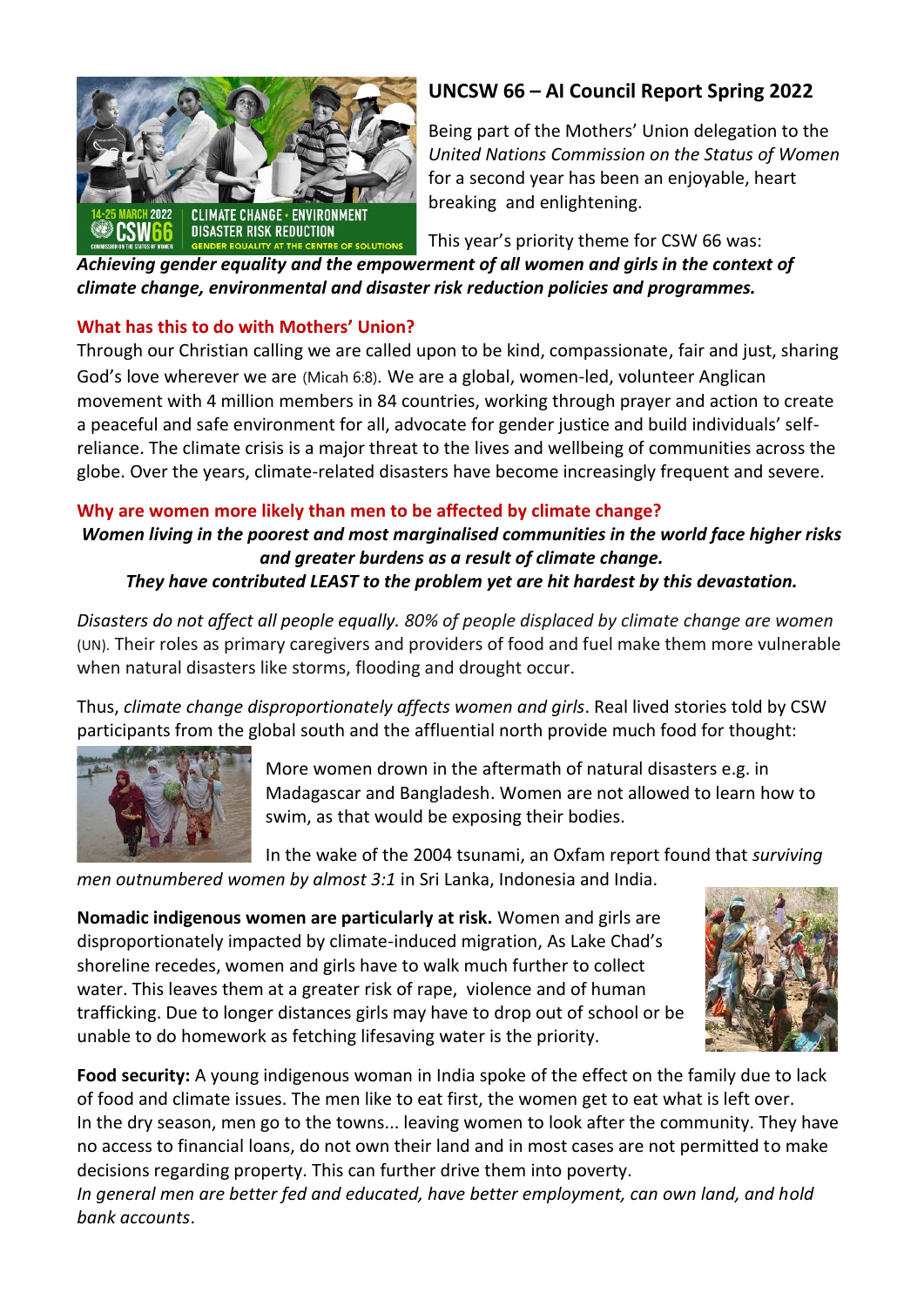

## **UNCSW 66 – AI Council Report Spring 2022**

Being part of the Mothers' Union delegation to the *United Nations Commission on the Status of Women* for a second year has been an enjoyable, heart breaking and enlightening.

This year's priority theme for CSW 66 was:

*Achieving gender equality and the empowerment of all women and girls in the context of climate change, environmental and disaster risk reduction policies and programmes.*

### **What has this to do with Mothers' Union?**

Through our Christian calling we are called upon to be kind, compassionate, fair and just, sharing God's love wherever we are (Micah 6:8). We are a global, women-led, volunteer Anglican movement with 4 million members in 84 countries, working through prayer and action to create a peaceful and safe environment for all, advocate for gender justice and build individuals' selfreliance. The climate crisis is a major threat to the lives and wellbeing of communities across the globe. Over the years, climate-related disasters have become increasingly frequent and severe.

## **Why are women more likely than men to be affected by climate change?**

# *Women living in the poorest and most marginalised communities in the world face higher risks and greater burdens as a result of climate change.*

## *They have contributed LEAST to the problem yet are hit hardest by this devastation.*

*Disasters do not affect all people equally. 80% of people displaced by climate change are women* (UN). Their roles as primary caregivers and providers of food and fuel make them more vulnerable when natural disasters like storms, flooding and drought occur.

Thus, *climate change disproportionately affects women and girls*. Real lived stories told by CSW participants from the global south and the affluential north provide much food for thought:



More women drown in the aftermath of natural disasters e.g. in Madagascar and Bangladesh. Women are not allowed to learn how to swim, as that would be exposing their bodies.

In the wake of the 2004 tsunami, an Oxfam report found that *surviving* 

*men outnumbered women by almost 3:1* in Sri Lanka, Indonesia and India.

**Nomadic indigenous women are particularly at risk.** Women and girls are disproportionately impacted by climate-induced migration, As Lake Chad's shoreline recedes, women and girls have to walk much further to collect water. This leaves them at a greater risk of rape, violence and of human trafficking. Due to longer distances girls may have to drop out of school or be unable to do homework as fetching lifesaving water is the priority.



**Food security:** A young indigenous woman in India spoke of the effect on the family due to lack of food and climate issues. The men like to eat first, the women get to eat what is left over. In the dry season, men go to the towns... leaving women to look after the community. They have no access to financial loans, do not own their land and in most cases are not permitted to make decisions regarding property. This can further drive them into poverty.

*In general men are better fed and educated, have better employment, can own land, and hold bank accounts*.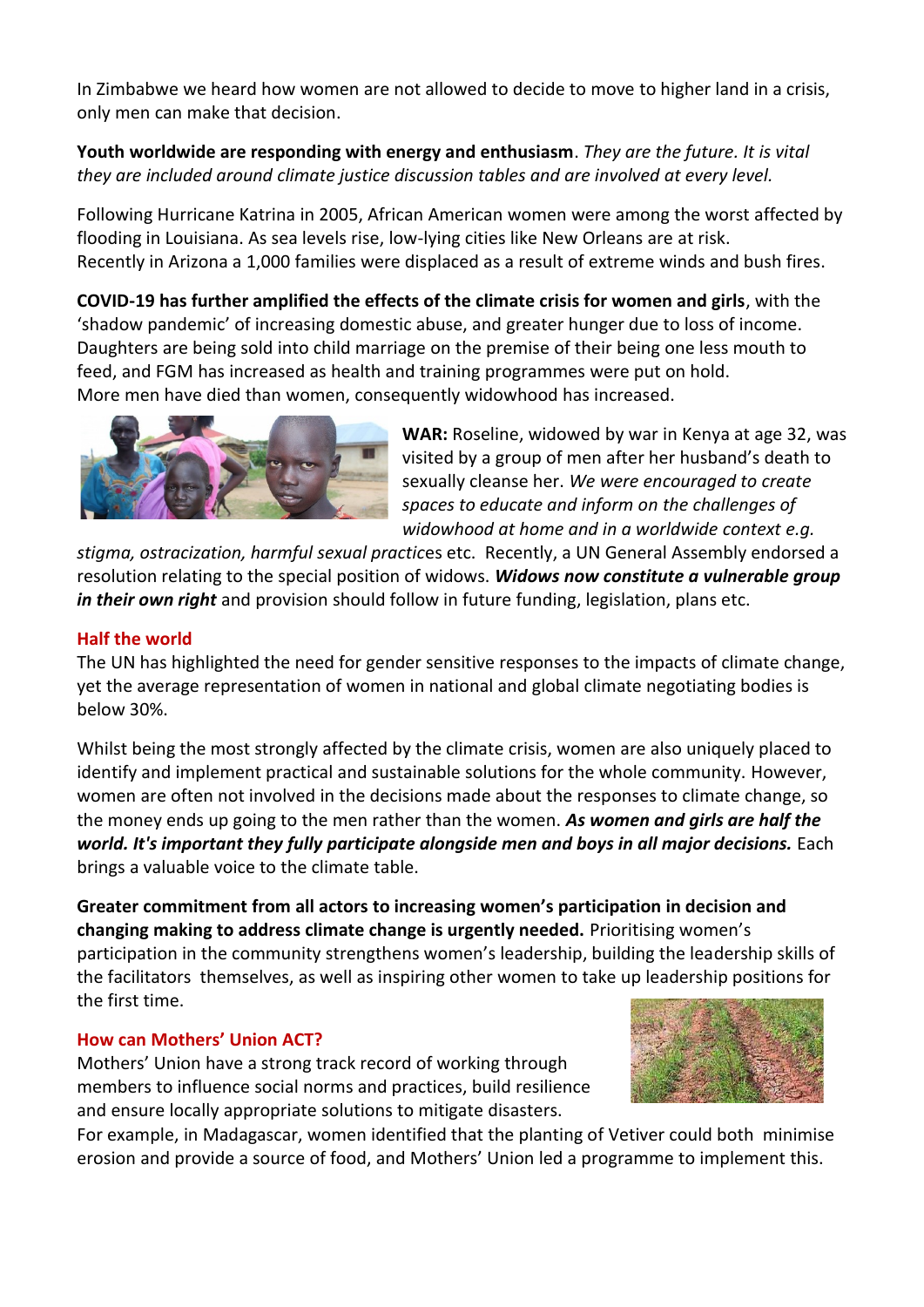In Zimbabwe we heard how women are not allowed to decide to move to higher land in a crisis, only men can make that decision.

### **Youth worldwide are responding with energy and enthusiasm**. *They are the future. It is vital they are included around climate justice discussion tables and are involved at every level.*

Following Hurricane Katrina in 2005, African American women were among the worst affected by flooding in Louisiana. As sea levels rise, low-lying cities like New Orleans are at risk. Recently in Arizona a 1,000 families were displaced as a result of extreme winds and bush fires.

**COVID-19 has further amplified the effects of the climate crisis for women and girls**, with the 'shadow pandemic' of increasing domestic abuse, and greater hunger due to loss of income. Daughters are being sold into child marriage on the premise of their being one less mouth to feed, and FGM has increased as health and training programmes were put on hold. More men have died than women, consequently widowhood has increased.



**WAR:** Roseline, widowed by war in Kenya at age 32, was visited by a group of men after her husband's death to sexually cleanse her. *We were encouraged to create spaces to educate and inform on the challenges of widowhood at home and in a worldwide context e.g.*

*stigma, ostracization, harmful sexual practic*es etc. Recently, a UN General Assembly endorsed a resolution relating to the special position of widows. *Widows now constitute a vulnerable group in their own right* and provision should follow in future funding, legislation, plans etc.

#### **Half the world**

The UN has highlighted the need for gender sensitive responses to the impacts of climate change, yet the average representation of women in national and global climate negotiating bodies is below 30%.

Whilst being the most strongly affected by the climate crisis, women are also uniquely placed to identify and implement practical and sustainable solutions for the whole community. However, women are often not involved in the decisions made about the responses to climate change, so the money ends up going to the men rather than the women. *As women and girls are half the world. It's important they fully participate alongside men and boys in all major decisions.* Each brings a valuable voice to the climate table.

**Greater commitment from all actors to increasing women's participation in decision and changing making to address climate change is urgently needed.** Prioritising women's participation in the community strengthens women's leadership, building the leadership skills of the facilitators themselves, as well as inspiring other women to take up leadership positions for the first time.

#### **How can Mothers' Union ACT?**

Mothers' Union have a strong track record of working through members to influence social norms and practices, build resilience and ensure locally appropriate solutions to mitigate disasters.



For example, in Madagascar, women identified that the planting of Vetiver could both minimise erosion and provide a source of food, and Mothers' Union led a programme to implement this.